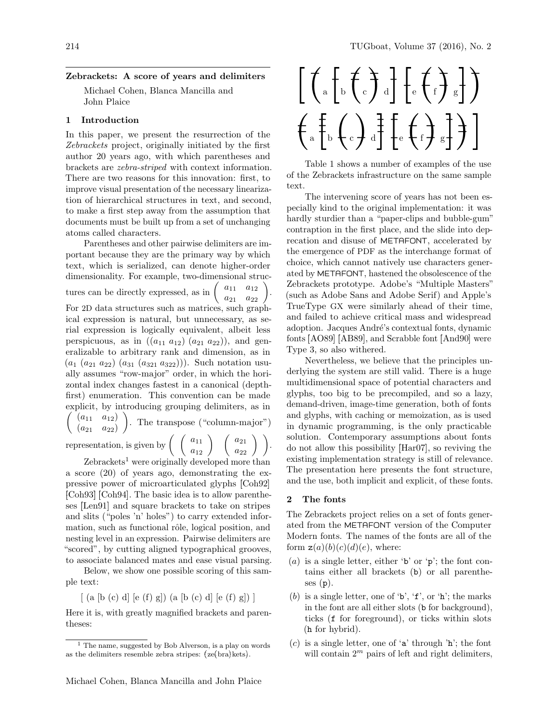## Zebrackets: A score of years and delimiters

Michael Cohen, Blanca Mancilla and John Plaice

## 1 Introduction

In this paper, we present the resurrection of the Zebrackets project, originally initiated by the first author 20 years ago, with which parentheses and brackets are zebra-striped with context information. There are two reasons for this innovation: first, to improve visual presentation of the necessary linearization of hierarchical structures in text, and second, to make a first step away from the assumption that documents must be built up from a set of unchanging atoms called characters.

Parentheses and other pairwise delimiters are important because they are the primary way by which text, which is serialized, can denote higher-order dimensionality. For example, two-dimensional structures can be directly expressed, as in  $\begin{pmatrix} a_{11} & a_{12} \\ a_{21} & a_{22} \end{pmatrix}$ . For 2D data structures such as matrices, such graphical expression is natural, but unnecessary, as serial expression is logically equivalent, albeit less perspicuous, as in  $((a_{11} a_{12}) (a_{21} a_{22}))$ , and generalizable to arbitrary rank and dimension, as in  $(a_1 (a_{21} a_{22}) (a_{31} (a_{321} a_{322})))$ . Such notation usually assumes "row-major" order, in which the horizontal index changes fastest in a canonical (depthfirst) enumeration. This convention can be made explicit, by introducing grouping delimiters, as in  $( a_{11} \ a_{12})$  $(a_{21} \ a_{22})$  . The transpose ("column-major") representation, is given by  $\begin{pmatrix} a_{11} \\ a_{12} \end{pmatrix}$   $\begin{pmatrix} a_{21} \\ a_{22} \end{pmatrix}$ .

 $Zebrackets<sup>1</sup>$  were originally developed more than a score (20) of years ago, demonstrating the expressive power of microarticulated glyphs Coh92 [Coh93] [Coh94]. The basic idea is to allow parentheses [Len91] and square brackets to take on stripes and slits ("poles 'n' holes") to carry extended information, such as functional rôle, logical position, and nesting level in an expression. Pairwise delimiters are "scored", by cutting aligned typographical grooves, to associate balanced mates and ease visual parsing.

Below, we show one possible scoring of this sample text:

 $(a [b (c) d] [e (f) g]) (a [b (c) d] [e (f) g])]$ 

Here it is, with greatly magnified brackets and parentheses:



Table 1 shows a number of examples of the use of the Zebrackets infrastructure on the same sample text.

The intervening score of years has not been especially kind to the original implementation: it was hardly sturdier than a "paper-clips and bubble-gum" contraption in the first place, and the slide into deprecation and disuse of METAFONT, accelerated by the emergence of PDF as the interchange format of choice, which cannot natively use characters generated by METAFONT, hastened the obsolescence of the Zebrackets prototype. Adobe's "Multiple Masters" (such as Adobe Sans and Adobe Serif) and Apple's TrueType GX were similarly ahead of their time, and failed to achieve critical mass and widespread adoption. Jacques André's contextual fonts, dynamic fonts [AO89] [AB89], and Scrabble font [And90] were Type 3, so also withered.

Nevertheless, we believe that the principles underlying the system are still valid. There is a huge multidimensional space of potential characters and glyphs, too big to be precompiled, and so a lazy, demand-driven, image-time generation, both of fonts and glyphs, with caching or memoization, as is used in dynamic programming, is the only practicable solution. Contemporary assumptions about fonts do not allow this possibility Har07, so reviving the existing implementation strategy is still of relevance. The presentation here presents the font structure, and the use, both implicit and explicit, of these fonts.

#### 2 The fonts

The Zebrackets project relies on a set of fonts generated from the METAFONT version of the Computer Modern fonts. The names of the fonts are all of the form  $z(a)(b)(c)(d)(e)$ , where:

- (a) is a single letter, either 'b' or 'p'; the font contains either all brackets (b) or all parentheses  $(p)$ .
- (b) is a single letter, one of  $\mathbf{b}'$ ,  $\mathbf{f}'$ , or  $\mathbf{h}'$ ; the marks in the font are all either slots (b for background), ticks (f for foreground), or ticks within slots (h for hybrid).
- (c) is a single letter, one of 'a' through 'h'; the font will contain  $2^m$  pairs of left and right delimiters,

 $<sup>1</sup>$  The name, suggested by Bob Alverson, is a play on words</sup> as the delimiters resemble zebra stripes:  $(ze(bra)kets)$ .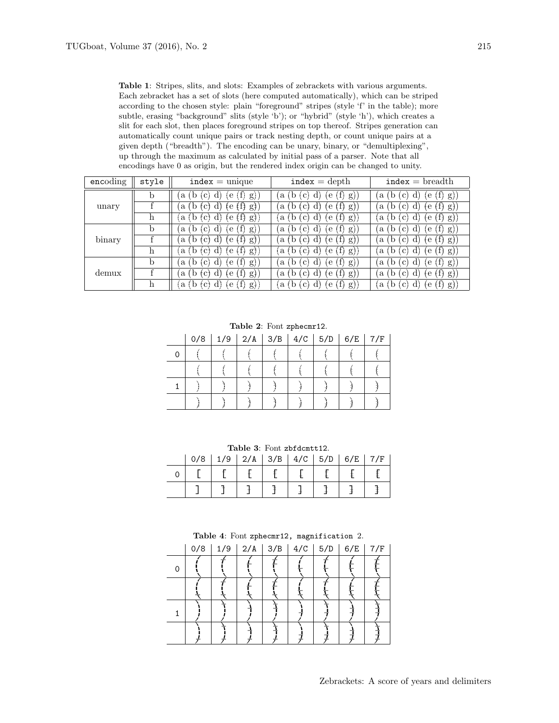Table 1: Stripes, slits, and slots: Examples of zebrackets with various arguments. Each zebracket has a set of slots (here computed automatically), which can be striped according to the chosen style: plain "foreground" stripes (style 'f' in the table); more subtle, erasing "background" slits (style 'b'); or "hybrid" (style 'h'), which creates a slit for each slot, then places foreground stripes on top thereof. Stripes generation can automatically count unique pairs or track nesting depth, or count unique pairs at a given depth ("breadth"). The encoding can be unary, binary, or "demultiplexing", up through the maximum as calculated by initial pass of a parser. Note that all encodings have 0 as origin, but the rendered index origin can be changed to unity.

| encoding | style | $index = unique$                                 | $index = depth$                               | $index = breadth$                             |
|----------|-------|--------------------------------------------------|-----------------------------------------------|-----------------------------------------------|
| unary    | b     | (f)<br>g)<br>a<br>$\pm$ C i $\pm$<br>ţе<br>α.    | $\mathbf{a}$<br>g)<br>C)<br>iе<br>D           | (f)<br>g)<br>a<br>с<br>e                      |
|          |       | ŧĦ<br>$g\ddagger)$<br>a<br>ŧe                    | $\mathbf{a}$<br>g)<br>C.<br>e                 | (f)<br>g)<br>a<br>с<br>ŧе                     |
|          | h     | (eff)<br>(g)<br>$\lceil ct \rceil d$<br>(a (b    | (f)<br>g)<br>a t<br>ţе<br>:C]<br><sub>D</sub> | (f)<br>g)<br>'a<br>C)<br>ŧе                   |
| binary   | b     | (f)<br>g)<br>a<br>(C)<br>íе                      | g)<br>a<br>$\mathbf{c}$<br>iе<br>b            | (f)<br>g)<br>a<br>с<br>e                      |
|          |       | $(+1)$<br>gJ)<br>a<br>te<br>tCt<br>. D<br>- CL 1 | a<br>g)<br>-C l<br>te<br>-d<br>D              | tÌł<br>g<br>'a<br>te<br>C)<br>αı              |
|          | h     | $\overline{(a (b (c) d) (e (f) g))}$             | (f)<br>g)<br>'a t<br>.c)<br>đì<br>ţe<br>D     | (f)<br>g<br>٠a<br>C)<br>ŧе                    |
| demux    | b     | (f)<br>(g)<br>$\cdot$ C $^{,}$<br>l e<br>a       | g)<br>$\mathbf{a}$<br>$\mathbf{c}$<br>iе      | `f)<br>g)<br>a<br>C.<br>e                     |
|          |       | (f)<br>g)<br>a<br>€€<br>$TC^+$<br>. D<br>C.      | g)<br>a<br>-C -<br>rе<br>D                    | (f)<br>$g$ )<br>$\mathbf{c}$<br>a<br>d.<br>ŧе |
|          | h     | (e(f))<br>d)<br>(g)<br>(c)<br>i a                | (f)<br>g)<br>a t<br>.C i<br>ŗе<br>b           | (f)<br>g)<br>'a<br>C)<br>ŧе                   |

Table 2: Font zphecmr12.

| 0/8 |  |  | $1/9$   2/A   3/B   4/C   5/D   6/E   7/F |  |
|-----|--|--|-------------------------------------------|--|
|     |  |  |                                           |  |
|     |  |  |                                           |  |
|     |  |  |                                           |  |
|     |  |  |                                           |  |

Table 3: Font zbfdcmtt12.

| 0/8 |  |  | $1/9$   2/A   3/B   4/C   5/D   6/E   7/F |  |
|-----|--|--|-------------------------------------------|--|
|     |  |  |                                           |  |
|     |  |  |                                           |  |

Table 4: Font zphecmr12, magnification 2.

|   | $0/8$   1/9   2/A   3/B   4/C   5/D   6/E   7/F |  |  |  |
|---|-------------------------------------------------|--|--|--|
| 0 |                                                 |  |  |  |
|   |                                                 |  |  |  |
|   |                                                 |  |  |  |
|   |                                                 |  |  |  |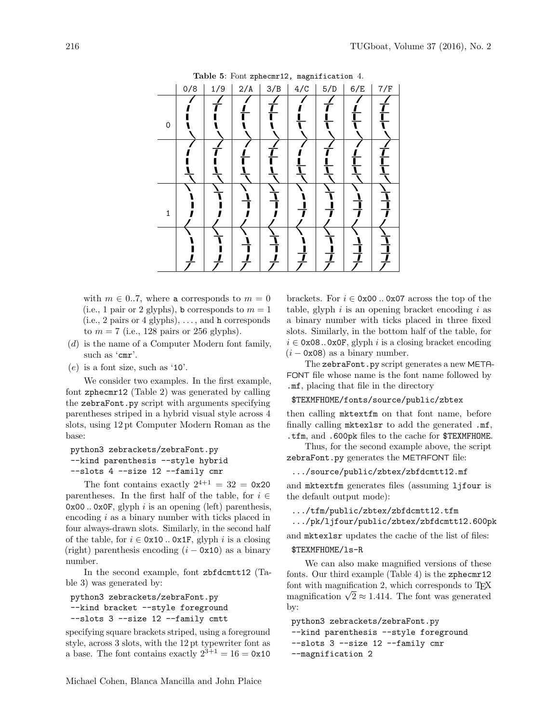| Table 5: Font zphecmr12, magnification 4. |     |     |     |     |     |     |     |     |  |
|-------------------------------------------|-----|-----|-----|-----|-----|-----|-----|-----|--|
|                                           | 0/8 | 1/9 | 2/A | 3/B | 4/C | 5/D | 6/E | 7/F |  |
| 0                                         |     |     |     |     |     |     |     |     |  |
|                                           |     |     |     |     |     |     |     |     |  |
| 1                                         |     |     |     |     |     |     |     |     |  |
|                                           |     |     |     |     |     |     |     |     |  |

with  $m \in 0.7$ , where a corresponds to  $m = 0$ (i.e., 1 pair or 2 glyphs), b corresponds to  $m = 1$  $(i.e., 2 pairs or 4 glyphs), ..., and h corresponds$ to  $m = 7$  (i.e., 128 pairs or 256 glyphs).

- (d) is the name of a Computer Modern font family, such as 'cmr'.
- $(e)$  is a font size, such as '10'.

We consider two examples. In the first example, font zphecmr12 (Table 2) was generated by calling the zebraFont.py script with arguments specifying parentheses striped in a hybrid visual style across 4 slots, using 12 pt Computer Modern Roman as the base:

```
python3 zebrackets/zebraFont.py
--kind parenthesis --style hybrid
--slots 4 --size 12 --family cmr
```
The font contains exactly  $2^{4+1} = 32 = 0 \times 20$ parentheses. In the first half of the table, for  $i \in$  $0x00$ ..  $0x0F$ , glyph i is an opening (left) parenthesis, encoding i as a binary number with ticks placed in four always-drawn slots. Similarly, in the second half of the table, for  $i \in \text{0x10}$ .. 0x1F, glyph i is a closing (right) parenthesis encoding  $(i - 0x10)$  as a binary number.

In the second example, font zbfdcmtt12 (Table 3) was generated by:

```
python3 zebrackets/zebraFont.py
--kind bracket --style foreground
--slots 3 --size 12 --family cmtt
```
specifying square brackets striped, using a foreground style, across 3 slots, with the 12 pt typewriter font as a base. The font contains exactly  $2^{3+1} = 16 = 0 \times 10$ 

and mktextfm generates files (assuming ljfour is the default output mode): .../tfm/public/zbtex/zbfdcmtt12.tfm .../pk/ljfour/public/zbtex/zbfdcmtt12.600pk

 $(i - 0x08)$  as a binary number.

.mf, placing that file in the directory

\$TEXMFHOME/fonts/source/public/zbtex

zebraFont.py generates the METAFONT file: .../source/public/zbtex/zbfdcmtt12.mf

then calling mktextfm on that font name, before finally calling mktexlsr to add the generated .mf, .tfm, and .600pk files to the cache for \$TEXMFHOME. Thus, for the second example above, the script

and mktexlsr updates the cache of the list of files:

brackets. For  $i \in \text{0x00}$ . 0x07 across the top of the table, glyph  $i$  is an opening bracket encoding  $i$  as a binary number with ticks placed in three fixed slots. Similarly, in the bottom half of the table, for  $i \in \texttt{0x08...0x0F}$ , glyph i is a closing bracket encoding

The zebraFont.py script generates a new META-FONT file whose name is the font name followed by

## \$TEXMFHOME/ls-R

We can also make magnified versions of these fonts. Our third example (Table 4) is the zphecmr12 font with magnification 2, which corresponds to  $T_F X$ from with magnification 2, which corresponds to 1<sup>E</sup>N magnification  $\sqrt{2} \approx 1.414$ . The font was generated by:

python3 zebrackets/zebraFont.py --kind parenthesis --style foreground --slots 3 --size 12 --family cmr --magnification 2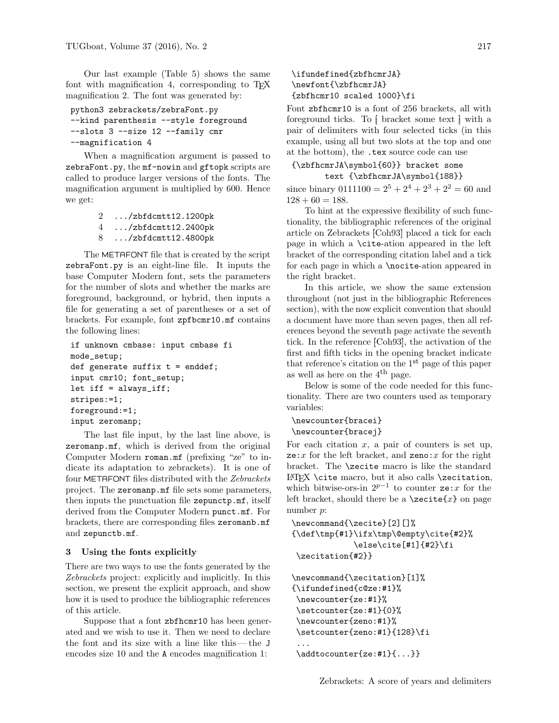Our last example (Table 5) shows the same font with magnification 4, corresponding to  $T_F X$ magnification 2. The font was generated by:

```
python3 zebrackets/zebraFont.py
--kind parenthesis --style foreground
--slots 3 --size 12 --family cmr
--magnification 4
```
When a magnification argument is passed to zebraFont.py, the mf-nowin and gftopk scripts are called to produce larger versions of the fonts. The magnification argument is multiplied by 600. Hence we get:

```
2 .../zbfdcmtt12.1200pk
4 .../zbfdcmtt12.2400pk
8 .../zbfdcmtt12.4800pk
```
The METAFONT file that is created by the script zebraFont.py is an eight-line file. It inputs the base Computer Modern font, sets the parameters for the number of slots and whether the marks are foreground, background, or hybrid, then inputs a file for generating a set of parentheses or a set of brackets. For example, font zpfbcmr10.mf contains the following lines:

```
if unknown cmbase: input cmbase fi
mode_setup;
def generate suffix t = enddef;
input cmr10; font_setup;
let iff = always_iff;
stripes:=1;
foreground:=1;
input zeromanp;
```
The last file input, by the last line above, is zeromanp.mf, which is derived from the original Computer Modern roman.mf (prefixing "ze" to indicate its adaptation to zebrackets). It is one of four METAFONT files distributed with the Zebrackets project. The zeromanp.mf file sets some parameters, then inputs the punctuation file zepunctp.mf, itself derived from the Computer Modern punct.mf. For brackets, there are corresponding files zeromanb.mf and zepunctb.mf.

#### 3 Using the fonts explicitly

There are two ways to use the fonts generated by the Zebrackets project: explicitly and implicitly. In this section, we present the explicit approach, and show how it is used to produce the bibliographic references of this article.

Suppose that a font zbfhcmr10 has been generated and we wish to use it. Then we need to declare the font and its size with a line like this— the J encodes size 10 and the A encodes magnification 1:

# \ifundefined{zbfhcmrJA} \newfont{\zbfhcmrJA} {zbfhcmr10 scaled 1000}\fi

Font zbfhcmr10 is a font of 256 brackets, all with foreground ticks. To  $\frac{1}{k}$  bracket some text  $\frac{1}{k}$  with a pair of delimiters with four selected ticks (in this example, using all but two slots at the top and one at the bottom), the .tex source code can use

{\zbfhcmrJA\symbol{60}} bracket some text {\zbfhcmrJA\symbol{188}}

since binary  $0111100 = 2^5 + 2^4 + 2^3 + 2^2 = 60$  and  $128 + 60 = 188.$ 

To hint at the expressive flexibility of such functionality, the bibliographic references of the original article on Zebrackets [Coh93] placed a tick for each page in which a \cite-ation appeared in the left bracket of the corresponding citation label and a tick for each page in which a \nocite-ation appeared in the right bracket.

In this article, we show the same extension throughout (not just in the bibliographic References section), with the now explicit convention that should a document have more than seven pages, then all references beyond the seventh page activate the seventh tick. In the reference [Coh93], the activation of the first and fifth ticks in the opening bracket indicate that reference's citation on the  $1<sup>st</sup>$  page of this paper as well as here on the  $4<sup>th</sup>$  page.

Below is some of the code needed for this functionality. There are two counters used as temporary variables:

```
\newcounter{bracei}
\newcounter{bracej}
```
For each citation  $x$ , a pair of counters is set up,  $ze:x$  for the left bracket, and zeno: x for the right bracket. The \zecite macro is like the standard  $\LaTeX$  \cite macro, but it also calls \zecitation, which bitwise-ors-in  $2^{p-1}$  to counter ze: x for the left bracket, should there be a  $\zeta$ zecite $\{x\}$  on page number p:

```
\newcommand{\zecite}[2][]%
{\def\tmp{#1}\ifx\tmp\@empty\cite{#2}%
             \else\cite[#1]{#2}\fi
\zecitation{#2}}
```

```
\newcommand{\zecitation}[1]%
{\ifundefined{c@ze:#1}%
 \newcounter{ze:#1}%
 \setcounter{ze:#1}{0}%
 \newcounter{zeno:#1}%
 \setcounter{zeno:#1}{128}\fi
 ...
 \addtocounter{ze:#1}{...}}
```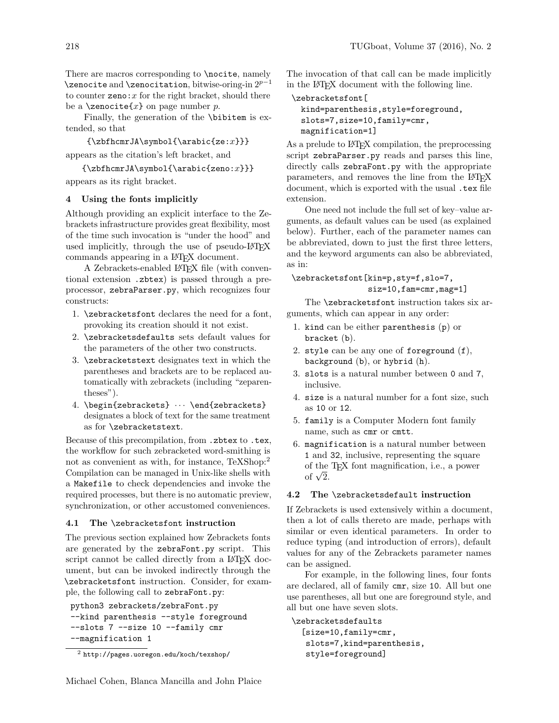There are macros corresponding to **\nocite**, namely  $\zeta$ zenocite and  $\zeta$ zenocitation, bitwise-oring-in  $2^{p-1}$ to counter  $\text{zeno}: x$  for the right bracket, should there be a  $\zeta$ zenocite $\{x\}$  on page number p.

Finally, the generation of the \bibitem is extended, so that

```
{\xobthcmrJA\symbol{\varphi\cdot\{ze:x\}}\}
```
appears as the citation's left bracket, and

 ${\xobfhcmrJA\symbol{\varphi}(\arabic{zeno:}x)\}$ appears as its right bracket.

# 4 Using the fonts implicitly

Although providing an explicit interface to the Zebrackets infrastructure provides great flexibility, most of the time such invocation is "under the hood" and used implicitly, through the use of pseudo-LAT<sub>EX</sub> commands appearing in a LATEX document.

A Zebrackets-enabled LATEX file (with conventional extension .zbtex) is passed through a preprocessor, zebraParser.py, which recognizes four constructs:

- 1. \zebracketsfont declares the need for a font, provoking its creation should it not exist.
- 2. \zebracketsdefaults sets default values for the parameters of the other two constructs.
- 3. \zebracketstext designates text in which the parentheses and brackets are to be replaced automatically with zebrackets (including "zeparentheses").
- 4. \begin{zebrackets}  $\cdots$  \end{zebrackets} designates a block of text for the same treatment as for \zebracketstext.

Because of this precompilation, from .zbtex to .tex, the workflow for such zebracketed word-smithing is not as convenient as with, for instance, TeXShop:<sup>2</sup> Compilation can be managed in Unix-like shells with a Makefile to check dependencies and invoke the required processes, but there is no automatic preview, synchronization, or other accustomed conveniences.

## 4.1 The \zebracketsfont instruction

The previous section explained how Zebrackets fonts are generated by the zebraFont.py script. This script cannot be called directly from a IATFX document, but can be invoked indirectly through the \zebracketsfont instruction. Consider, for example, the following call to zebraFont.py:

```
python3 zebrackets/zebraFont.py
--kind parenthesis --style foreground
--slots 7 --size 10 --family cmr
--magnification 1
```
The invocation of that call can be made implicitly in the LATEX document with the following line.

```
\zebracketsfont[
 kind=parenthesis,style=foreground,
  slots=7,size=10,family=cmr,
 magnification=1]
```
As a prelude to LAT<sub>EX</sub> compilation, the preprocessing script zebraParser.py reads and parses this line, directly calls zebraFont.py with the appropriate parameters, and removes the line from the LAT<sub>EX</sub> document, which is exported with the usual .tex file extension.

One need not include the full set of key–value arguments, as default values can be used (as explained below). Further, each of the parameter names can be abbreviated, down to just the first three letters, and the keyword arguments can also be abbreviated, as in:

# \zebracketsfont[kin=p,sty=f,slo=7, siz=10,fam=cmr,mag=1]

The \zebracketsfont instruction takes six arguments, which can appear in any order:

- 1. kind can be either parenthesis (p) or bracket (b).
- 2. style can be any one of foreground (f), background (b), or hybrid (h).
- 3. slots is a natural number between 0 and 7, inclusive.
- 4. size is a natural number for a font size, such as 10 or 12.
- 5. family is a Computer Modern font family name, such as cmr or cmtt.
- 6. magnification is a natural number between 1 and 32, inclusive, representing the square of the TEX font magnification, i.e., a power or the<br>of  $\sqrt{2}$ .

## 4.2 The \zebracketsdefault instruction

If Zebrackets is used extensively within a document, then a lot of calls thereto are made, perhaps with similar or even identical parameters. In order to reduce typing (and introduction of errors), default values for any of the Zebrackets parameter names can be assigned.

For example, in the following lines, four fonts are declared, all of family cmr, size 10. All but one use parentheses, all but one are foreground style, and all but one have seven slots.

\zebracketsdefaults [size=10,family=cmr, slots=7,kind=parenthesis, style=foreground]

<sup>2</sup> http://pages.uoregon.edu/koch/texshop/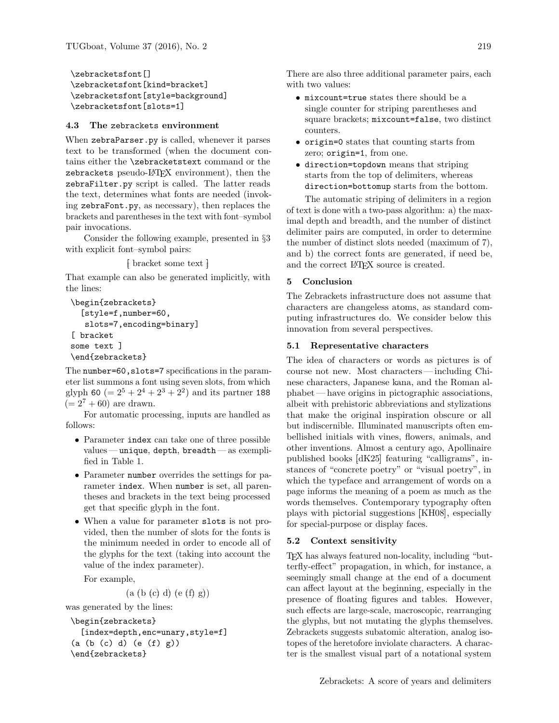\zebracketsfont[] \zebracketsfont[kind=bracket] \zebracketsfont[style=background] \zebracketsfont[slots=1]

#### 4.3 The zebrackets environment

When zebraParser.py is called, whenever it parses text to be transformed (when the document contains either the \zebracketstext command or the zebrackets pseudo-LATEX environment), then the zebraFilter.py script is called. The latter reads the text, determines what fonts are needed (invoking zebraFont.py, as necessary), then replaces the brackets and parentheses in the text with font–symbol pair invocations.

Consider the following example, presented in §3 with explicit font–symbol pairs:

 $\frac{1}{k}$  bracket some text  $\frac{1}{k}$ 

That example can also be generated implicitly, with the lines:

```
\begin{zebrackets}
  [style=f,number=60,
   slots=7,encoding=binary]
[ bracket
some text ]
\end{zebrackets}
```
The number=60, slots=7 specifications in the parameter list summons a font using seven slots, from which glyph 60 ( $= 2^5 + 2^4 + 2^3 + 2^2$ ) and its partner 188  $(= 2<sup>7</sup> + 60)$  are drawn.

For automatic processing, inputs are handled as follows:

- Parameter index can take one of three possible values — unique, depth, breadth — as exemplified in Table 1.
- Parameter number overrides the settings for parameter index. When number is set, all parentheses and brackets in the text being processed get that specific glyph in the font.
- When a value for parameter slots is not provided, then the number of slots for the fonts is the minimum needed in order to encode all of the glyphs for the text (taking into account the value of the index parameter).

For example,

 $(a (b (c) d) (e (f) g))$ 

was generated by the lines:

```
\begin{zebrackets}
  [index=depth,enc=unary,style=f]
(a (b (c) d) (e (f) g))
\end{zebrackets}
```
There are also three additional parameter pairs, each with two values:

- mixcount=true states there should be a single counter for striping parentheses and square brackets; mixcount=false, two distinct counters.
- origin=0 states that counting starts from zero; origin=1, from one.
- direction=topdown means that striping starts from the top of delimiters, whereas direction=bottomup starts from the bottom.

The automatic striping of delimiters in a region of text is done with a two-pass algorithm: a) the maximal depth and breadth, and the number of distinct delimiter pairs are computed, in order to determine the number of distinct slots needed (maximum of 7), and b) the correct fonts are generated, if need be, and the correct LAT<sub>EX</sub> source is created.

#### 5 Conclusion

The Zebrackets infrastructure does not assume that characters are changeless atoms, as standard computing infrastructures do. We consider below this innovation from several perspectives.

#### 5.1 Representative characters

The idea of characters or words as pictures is of course not new. Most characters— including Chinese characters, Japanese kana, and the Roman alphabet— have origins in pictographic associations, albeit with prehistoric abbreviations and stylizations that make the original inspiration obscure or all but indiscernible. Illuminated manuscripts often embellished initials with vines, flowers, animals, and other inventions. Almost a century ago, Apollinaire published books  $[dK25]$  featuring "calligrams", instances of "concrete poetry" or "visual poetry", in which the typeface and arrangement of words on a page informs the meaning of a poem as much as the words themselves. Contemporary typography often plays with pictorial suggestions KH08, especially for special-purpose or display faces.

#### 5.2 Context sensitivity

TEX has always featured non-locality, including "butterfly-effect" propagation, in which, for instance, a seemingly small change at the end of a document can affect layout at the beginning, especially in the presence of floating figures and tables. However, such effects are large-scale, macroscopic, rearranging the glyphs, but not mutating the glyphs themselves. Zebrackets suggests subatomic alteration, analog isotopes of the heretofore inviolate characters. A character is the smallest visual part of a notational system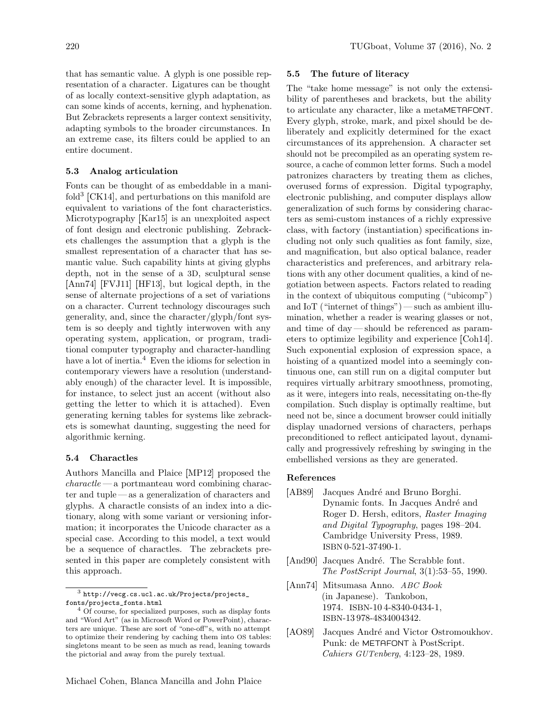that has semantic value. A glyph is one possible representation of a character. Ligatures can be thought of as locally context-sensitive glyph adaptation, as can some kinds of accents, kerning, and hyphenation. But Zebrackets represents a larger context sensitivity, adapting symbols to the broader circumstances. In an extreme case, its filters could be applied to an entire document.

## 5.3 Analog articulation

Fonts can be thought of as embeddable in a manifold<sup>3</sup> [CK14], and perturbations on this manifold are equivalent to variations of the font characteristics. Microtypography  $[Kar15]$  is an unexploited aspect of font design and electronic publishing. Zebrackets challenges the assumption that a glyph is the smallest representation of a character that has semantic value. Such capability hints at giving glyphs depth, not in the sense of a 3D, sculptural sense  $[Ann74]$   $[FVJ11]$   $[HF13]$ , but logical depth, in the sense of alternate projections of a set of variations on a character. Current technology discourages such generality, and, since the character/glyph/font system is so deeply and tightly interwoven with any operating system, application, or program, traditional computer typography and character-handling have a lot of inertia.<sup>4</sup> Even the idioms for selection in contemporary viewers have a resolution (understandably enough) of the character level. It is impossible, for instance, to select just an accent (without also getting the letter to which it is attached). Even generating kerning tables for systems like zebrackets is somewhat daunting, suggesting the need for algorithmic kerning.

#### 5.4 Charactles

Authors Mancilla and Plaice [MP12] proposed the  $charactered - a$  portmanteau word combining character and tuple — as a generalization of characters and glyphs. A charactle consists of an index into a dictionary, along with some variant or versioning information; it incorporates the Unicode character as a special case. According to this model, a text would be a sequence of charactles. The zebrackets presented in this paper are completely consistent with this approach.

#### 5.5 The future of literacy

The "take home message" is not only the extensibility of parentheses and brackets, but the ability to articulate any character, like a metaMETAFONT. Every glyph, stroke, mark, and pixel should be deliberately and explicitly determined for the exact circumstances of its apprehension. A character set should not be precompiled as an operating system resource, a cache of common letter forms. Such a model patronizes characters by treating them as cliches, overused forms of expression. Digital typography, electronic publishing, and computer displays allow generalization of such forms by considering characters as semi-custom instances of a richly expressive class, with factory (instantiation) specifications including not only such qualities as font family, size, and magnification, but also optical balance, reader characteristics and preferences, and arbitrary relations with any other document qualities, a kind of negotiation between aspects. Factors related to reading in the context of ubiquitous computing ("ubicomp") and IoT ("internet of things") — such as ambient illumination, whether a reader is wearing glasses or not, and time of day— should be referenced as parameters to optimize legibility and experience [Coh14]. Such exponential explosion of expression space, a hoisting of a quantized model into a seemingly continuous one, can still run on a digital computer but requires virtually arbitrary smoothness, promoting, as it were, integers into reals, necessitating on-the-fly compilation. Such display is optimally realtime, but need not be, since a document browser could initially display unadorned versions of characters, perhaps preconditioned to reflect anticipated layout, dynamically and progressively refreshing by swinging in the embellished versions as they are generated.

## References

- [AB89] Jacques André and Bruno Borghi. Dynamic fonts. In Jacques André and Roger D. Hersh, editors, Raster Imaging and Digital Typography, pages 198–204. Cambridge University Press, 1989. ISBN 0-521-37490-1.
- [And90] Jacques André. The Scrabble font. The PostScript Journal, 3(1):53–55, 1990.
- [Ann74] Mitsumasa Anno. ABC Book (in Japanese). Tankobon, 1974. ISBN-10 4-8340-0434-1, ISBN-13 978-4834004342.
- [AO89] Jacques André and Victor Ostromoukhov. Punk: de METAFONT à PostScript. Cahiers GUTenberg, 4:123–28, 1989.

<sup>3</sup> http://vecg.cs.ucl.ac.uk/Projects/projects\_ fonts/projects\_fonts.html

 $^4$  Of course, for specialized purposes, such as display fonts and "Word Art" (as in Microsoft Word or PowerPoint), characters are unique. These are sort of "one-off"s, with no attempt to optimize their rendering by caching them into OS tables: singletons meant to be seen as much as read, leaning towards the pictorial and away from the purely textual.